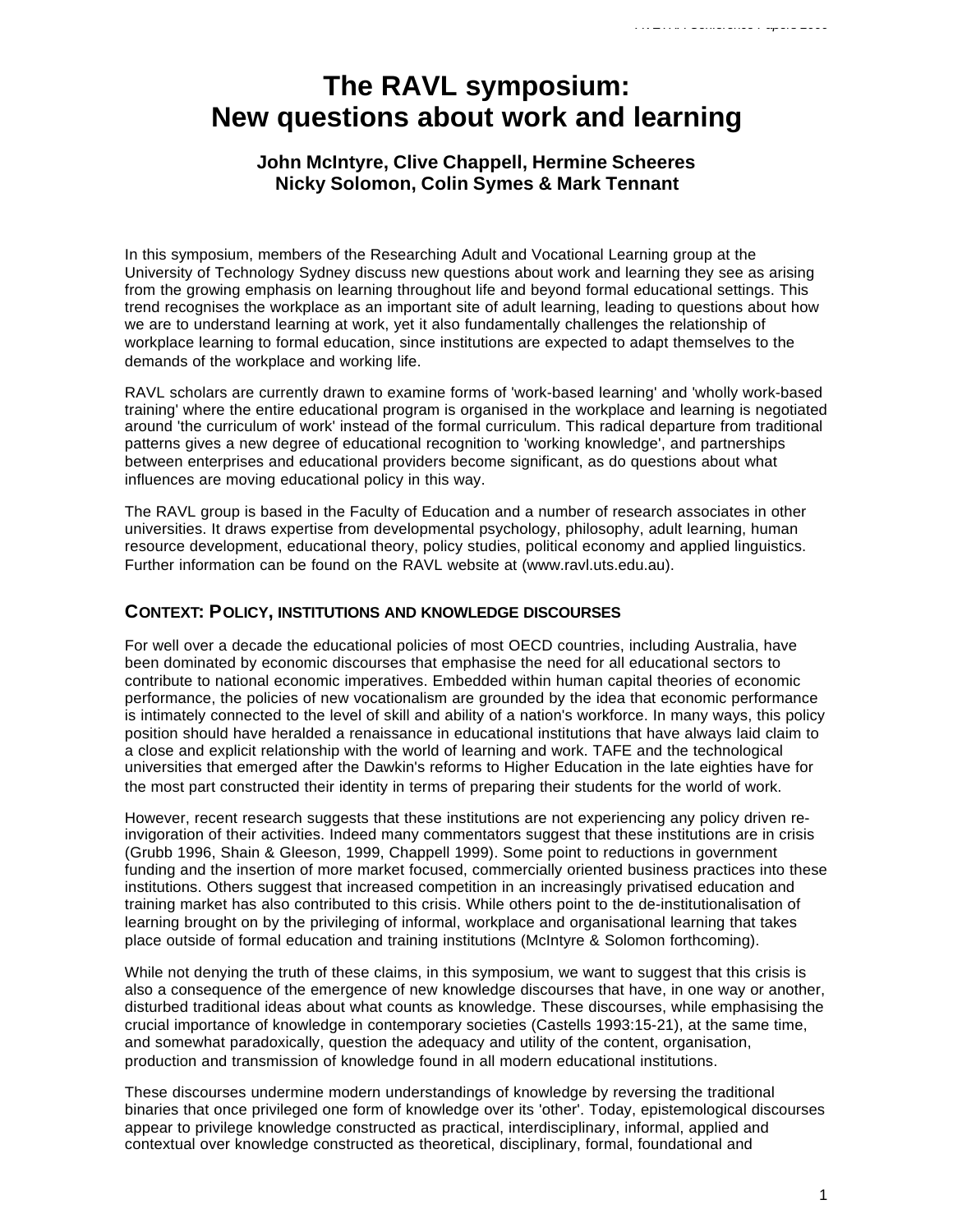# **The RAVL symposium: New questions about work and learning**

## **John McIntyre, Clive Chappell, Hermine Scheeres Nicky Solomon, Colin Symes & Mark Tennant**

In this symposium, members of the Researching Adult and Vocational Learning group at the University of Technology Sydney discuss new questions about work and learning they see as arising from the growing emphasis on learning throughout life and beyond formal educational settings. This trend recognises the workplace as an important site of adult learning, leading to questions about how we are to understand learning at work, yet it also fundamentally challenges the relationship of workplace learning to formal education, since institutions are expected to adapt themselves to the demands of the workplace and working life.

RAVL scholars are currently drawn to examine forms of 'work-based learning' and 'wholly work-based training' where the entire educational program is organised in the workplace and learning is negotiated around 'the curriculum of work' instead of the formal curriculum. This radical departure from traditional patterns gives a new degree of educational recognition to 'working knowledge', and partnerships between enterprises and educational providers become significant, as do questions about what influences are moving educational policy in this way.

The RAVL group is based in the Faculty of Education and a number of research associates in other universities. It draws expertise from developmental psychology, philosophy, adult learning, human resource development, educational theory, policy studies, political economy and applied linguistics. Further information can be found on the RAVL website at (www.ravl.uts.edu.au).

### **CONTEXT: POLICY, INSTITUTIONS AND KNOWLEDGE DISCOURSES**

For well over a decade the educational policies of most OECD countries, including Australia, have been dominated by economic discourses that emphasise the need for all educational sectors to contribute to national economic imperatives. Embedded within human capital theories of economic performance, the policies of new vocationalism are grounded by the idea that economic performance is intimately connected to the level of skill and ability of a nation's workforce. In many ways, this policy position should have heralded a renaissance in educational institutions that have always laid claim to a close and explicit relationship with the world of learning and work. TAFE and the technological universities that emerged after the Dawkin's reforms to Higher Education in the late eighties have for the most part constructed their identity in terms of preparing their students for the world of work.

However, recent research suggests that these institutions are not experiencing any policy driven reinvigoration of their activities. Indeed many commentators suggest that these institutions are in crisis (Grubb 1996, Shain & Gleeson, 1999, Chappell 1999). Some point to reductions in government funding and the insertion of more market focused, commercially oriented business practices into these institutions. Others suggest that increased competition in an increasingly privatised education and training market has also contributed to this crisis. While others point to the de-institutionalisation of learning brought on by the privileging of informal, workplace and organisational learning that takes place outside of formal education and training institutions (McIntyre & Solomon forthcoming).

While not denying the truth of these claims, in this symposium, we want to suggest that this crisis is also a consequence of the emergence of new knowledge discourses that have, in one way or another, disturbed traditional ideas about what counts as knowledge. These discourses, while emphasising the crucial importance of knowledge in contemporary societies (Castells 1993:15-21), at the same time, and somewhat paradoxically, question the adequacy and utility of the content, organisation, production and transmission of knowledge found in all modern educational institutions.

These discourses undermine modern understandings of knowledge by reversing the traditional binaries that once privileged one form of knowledge over its 'other'. Today, epistemological discourses appear to privilege knowledge constructed as practical, interdisciplinary, informal, applied and contextual over knowledge constructed as theoretical, disciplinary, formal, foundational and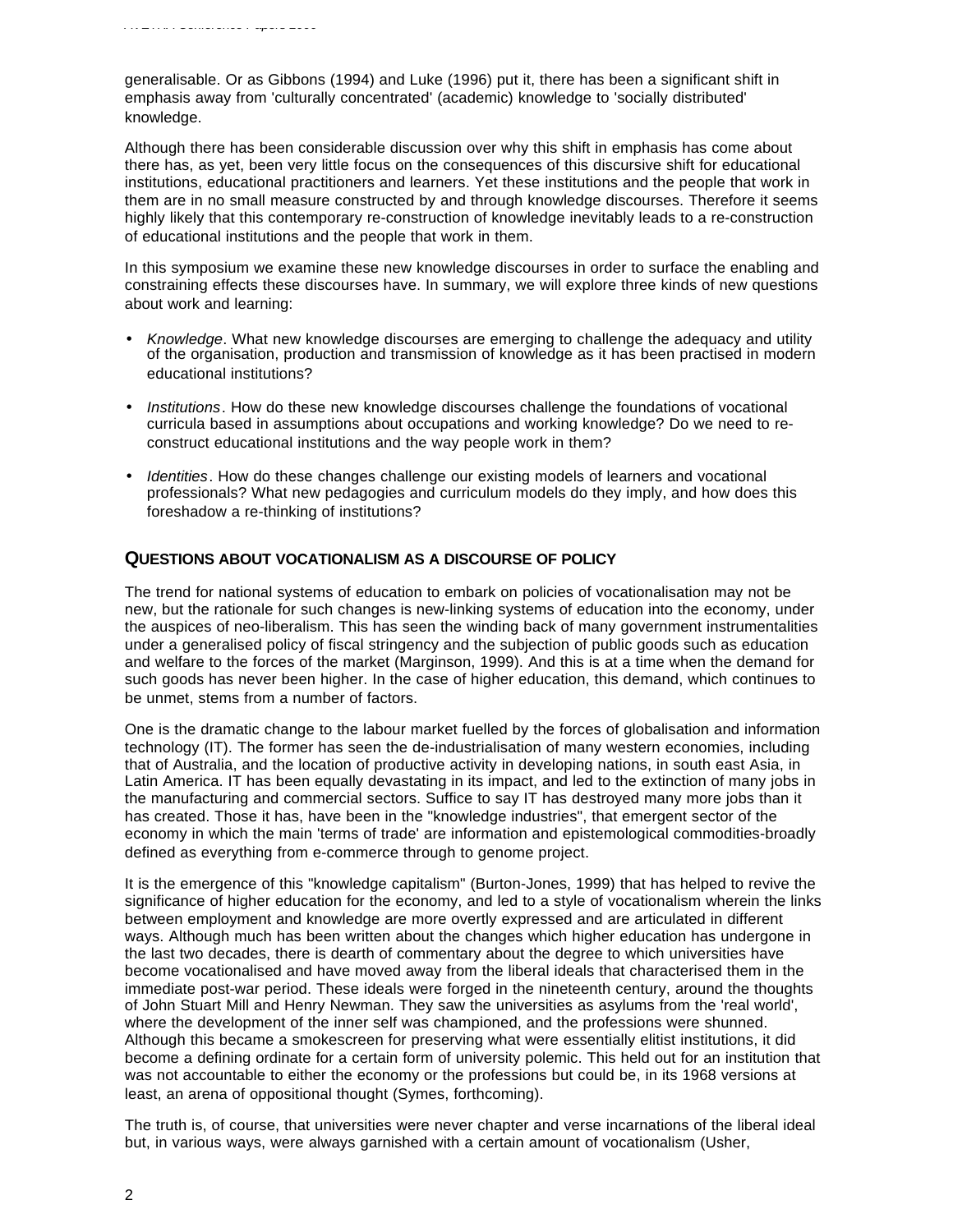generalisable. Or as Gibbons (1994) and Luke (1996) put it, there has been a significant shift in emphasis away from 'culturally concentrated' (academic) knowledge to 'socially distributed' knowledge.

Although there has been considerable discussion over why this shift in emphasis has come about there has, as yet, been very little focus on the consequences of this discursive shift for educational institutions, educational practitioners and learners. Yet these institutions and the people that work in them are in no small measure constructed by and through knowledge discourses. Therefore it seems highly likely that this contemporary re-construction of knowledge inevitably leads to a re-construction of educational institutions and the people that work in them.

In this symposium we examine these new knowledge discourses in order to surface the enabling and constraining effects these discourses have. In summary, we will explore three kinds of new questions about work and learning:

- *Knowledge*. What new knowledge discourses are emerging to challenge the adequacy and utility of the organisation, production and transmission of knowledge as it has been practised in modern educational institutions?
- *Institutions*. How do these new knowledge discourses challenge the foundations of vocational curricula based in assumptions about occupations and working knowledge? Do we need to reconstruct educational institutions and the way people work in them?
- *Identities*. How do these changes challenge our existing models of learners and vocational professionals? What new pedagogies and curriculum models do they imply, and how does this foreshadow a re-thinking of institutions?

## **QUESTIONS ABOUT VOCATIONALISM AS A DISCOURSE OF POLICY**

The trend for national systems of education to embark on policies of vocationalisation may not be new, but the rationale for such changes is new-linking systems of education into the economy, under the auspices of neo-liberalism. This has seen the winding back of many government instrumentalities under a generalised policy of fiscal stringency and the subjection of public goods such as education and welfare to the forces of the market (Marginson, 1999). And this is at a time when the demand for such goods has never been higher. In the case of higher education, this demand, which continues to be unmet, stems from a number of factors.

One is the dramatic change to the labour market fuelled by the forces of globalisation and information technology (IT). The former has seen the de-industrialisation of many western economies, including that of Australia, and the location of productive activity in developing nations, in south east Asia, in Latin America. IT has been equally devastating in its impact, and led to the extinction of many jobs in the manufacturing and commercial sectors. Suffice to say IT has destroyed many more jobs than it has created. Those it has, have been in the "knowledge industries", that emergent sector of the economy in which the main 'terms of trade' are information and epistemological commodities-broadly defined as everything from e-commerce through to genome project.

It is the emergence of this "knowledge capitalism" (Burton-Jones, 1999) that has helped to revive the significance of higher education for the economy, and led to a style of vocationalism wherein the links between employment and knowledge are more overtly expressed and are articulated in different ways. Although much has been written about the changes which higher education has undergone in the last two decades, there is dearth of commentary about the degree to which universities have become vocationalised and have moved away from the liberal ideals that characterised them in the immediate post-war period. These ideals were forged in the nineteenth century, around the thoughts of John Stuart Mill and Henry Newman. They saw the universities as asylums from the 'real world', where the development of the inner self was championed, and the professions were shunned. Although this became a smokescreen for preserving what were essentially elitist institutions, it did become a defining ordinate for a certain form of university polemic. This held out for an institution that was not accountable to either the economy or the professions but could be, in its 1968 versions at least, an arena of oppositional thought (Symes, forthcoming).

The truth is, of course, that universities were never chapter and verse incarnations of the liberal ideal but, in various ways, were always garnished with a certain amount of vocationalism (Usher,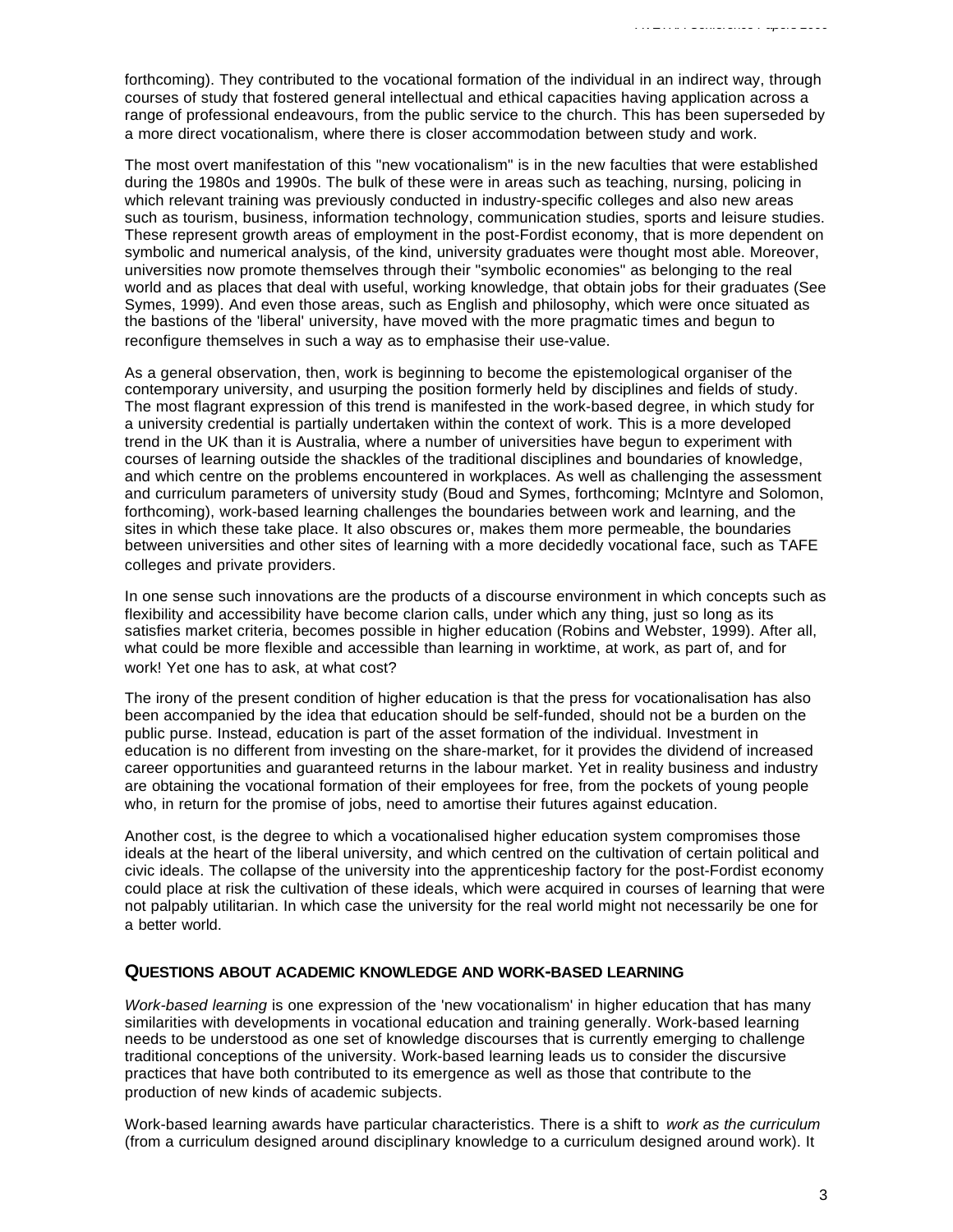forthcoming). They contributed to the vocational formation of the individual in an indirect way, through courses of study that fostered general intellectual and ethical capacities having application across a range of professional endeavours, from the public service to the church. This has been superseded by a more direct vocationalism, where there is closer accommodation between study and work.

The most overt manifestation of this "new vocationalism" is in the new faculties that were established during the 1980s and 1990s. The bulk of these were in areas such as teaching, nursing, policing in which relevant training was previously conducted in industry-specific colleges and also new areas such as tourism, business, information technology, communication studies, sports and leisure studies. These represent growth areas of employment in the post-Fordist economy, that is more dependent on symbolic and numerical analysis, of the kind, university graduates were thought most able. Moreover, universities now promote themselves through their "symbolic economies" as belonging to the real world and as places that deal with useful, working knowledge, that obtain jobs for their graduates (See Symes, 1999). And even those areas, such as English and philosophy, which were once situated as the bastions of the 'liberal' university, have moved with the more pragmatic times and begun to reconfigure themselves in such a way as to emphasise their use-value.

As a general observation, then, work is beginning to become the epistemological organiser of the contemporary university, and usurping the position formerly held by disciplines and fields of study. The most flagrant expression of this trend is manifested in the work-based degree, in which study for a university credential is partially undertaken within the context of work. This is a more developed trend in the UK than it is Australia, where a number of universities have begun to experiment with courses of learning outside the shackles of the traditional disciplines and boundaries of knowledge, and which centre on the problems encountered in workplaces. As well as challenging the assessment and curriculum parameters of university study (Boud and Symes, forthcoming; McIntyre and Solomon, forthcoming), work-based learning challenges the boundaries between work and learning, and the sites in which these take place. It also obscures or, makes them more permeable, the boundaries between universities and other sites of learning with a more decidedly vocational face, such as TAFE colleges and private providers.

In one sense such innovations are the products of a discourse environment in which concepts such as flexibility and accessibility have become clarion calls, under which any thing, just so long as its satisfies market criteria, becomes possible in higher education (Robins and Webster, 1999). After all, what could be more flexible and accessible than learning in worktime, at work, as part of, and for work! Yet one has to ask, at what cost?

The irony of the present condition of higher education is that the press for vocationalisation has also been accompanied by the idea that education should be self-funded, should not be a burden on the public purse. Instead, education is part of the asset formation of the individual. Investment in education is no different from investing on the share-market, for it provides the dividend of increased career opportunities and guaranteed returns in the labour market. Yet in reality business and industry are obtaining the vocational formation of their employees for free, from the pockets of young people who, in return for the promise of jobs, need to amortise their futures against education.

Another cost, is the degree to which a vocationalised higher education system compromises those ideals at the heart of the liberal university, and which centred on the cultivation of certain political and civic ideals. The collapse of the university into the apprenticeship factory for the post-Fordist economy could place at risk the cultivation of these ideals, which were acquired in courses of learning that were not palpably utilitarian. In which case the university for the real world might not necessarily be one for a better world.

#### **QUESTIONS ABOUT ACADEMIC KNOWLEDGE AND WORK-BASED LEARNING**

*Work-based learning* is one expression of the 'new vocationalism' in higher education that has many similarities with developments in vocational education and training generally. Work-based learning needs to be understood as one set of knowledge discourses that is currently emerging to challenge traditional conceptions of the university. Work-based learning leads us to consider the discursive practices that have both contributed to its emergence as well as those that contribute to the production of new kinds of academic subjects.

Work-based learning awards have particular characteristics. There is a shift to *work as the curriculum* (from a curriculum designed around disciplinary knowledge to a curriculum designed around work). It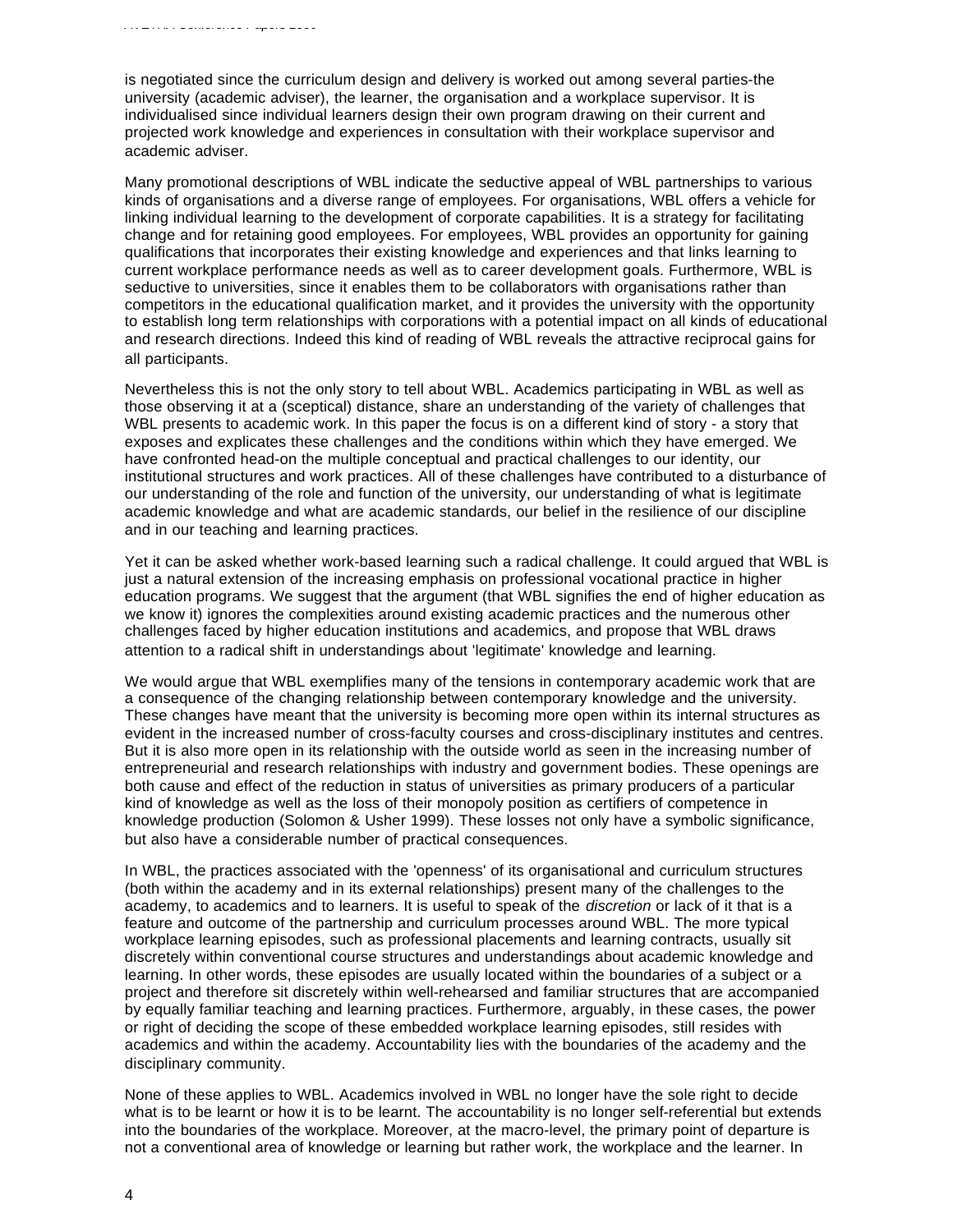is negotiated since the curriculum design and delivery is worked out among several parties-the university (academic adviser), the learner, the organisation and a workplace supervisor. It is individualised since individual learners design their own program drawing on their current and projected work knowledge and experiences in consultation with their workplace supervisor and academic adviser.

Many promotional descriptions of WBL indicate the seductive appeal of WBL partnerships to various kinds of organisations and a diverse range of employees. For organisations, WBL offers a vehicle for linking individual learning to the development of corporate capabilities. It is a strategy for facilitating change and for retaining good employees. For employees, WBL provides an opportunity for gaining qualifications that incorporates their existing knowledge and experiences and that links learning to current workplace performance needs as well as to career development goals. Furthermore, WBL is seductive to universities, since it enables them to be collaborators with organisations rather than competitors in the educational qualification market, and it provides the university with the opportunity to establish long term relationships with corporations with a potential impact on all kinds of educational and research directions. Indeed this kind of reading of WBL reveals the attractive reciprocal gains for all participants.

Nevertheless this is not the only story to tell about WBL. Academics participating in WBL as well as those observing it at a (sceptical) distance, share an understanding of the variety of challenges that WBL presents to academic work. In this paper the focus is on a different kind of story - a story that exposes and explicates these challenges and the conditions within which they have emerged. We have confronted head-on the multiple conceptual and practical challenges to our identity, our institutional structures and work practices. All of these challenges have contributed to a disturbance of our understanding of the role and function of the university, our understanding of what is legitimate academic knowledge and what are academic standards, our belief in the resilience of our discipline and in our teaching and learning practices.

Yet it can be asked whether work-based learning such a radical challenge. It could argued that WBL is just a natural extension of the increasing emphasis on professional vocational practice in higher education programs. We suggest that the argument (that WBL signifies the end of higher education as we know it) ignores the complexities around existing academic practices and the numerous other challenges faced by higher education institutions and academics, and propose that WBL draws attention to a radical shift in understandings about 'legitimate' knowledge and learning.

We would argue that WBL exemplifies many of the tensions in contemporary academic work that are a consequence of the changing relationship between contemporary knowledge and the university. These changes have meant that the university is becoming more open within its internal structures as evident in the increased number of cross-faculty courses and cross-disciplinary institutes and centres. But it is also more open in its relationship with the outside world as seen in the increasing number of entrepreneurial and research relationships with industry and government bodies. These openings are both cause and effect of the reduction in status of universities as primary producers of a particular kind of knowledge as well as the loss of their monopoly position as certifiers of competence in knowledge production (Solomon & Usher 1999). These losses not only have a symbolic significance, but also have a considerable number of practical consequences.

In WBL, the practices associated with the 'openness' of its organisational and curriculum structures (both within the academy and in its external relationships) present many of the challenges to the academy, to academics and to learners. It is useful to speak of the *discretion* or lack of it that is a feature and outcome of the partnership and curriculum processes around WBL. The more typical workplace learning episodes, such as professional placements and learning contracts, usually sit discretely within conventional course structures and understandings about academic knowledge and learning. In other words, these episodes are usually located within the boundaries of a subject or a project and therefore sit discretely within well-rehearsed and familiar structures that are accompanied by equally familiar teaching and learning practices. Furthermore, arguably, in these cases, the power or right of deciding the scope of these embedded workplace learning episodes, still resides with academics and within the academy. Accountability lies with the boundaries of the academy and the disciplinary community.

None of these applies to WBL. Academics involved in WBL no longer have the sole right to decide what is to be learnt or how it is to be learnt. The accountability is no longer self-referential but extends into the boundaries of the workplace. Moreover, at the macro-level, the primary point of departure is not a conventional area of knowledge or learning but rather work, the workplace and the learner. In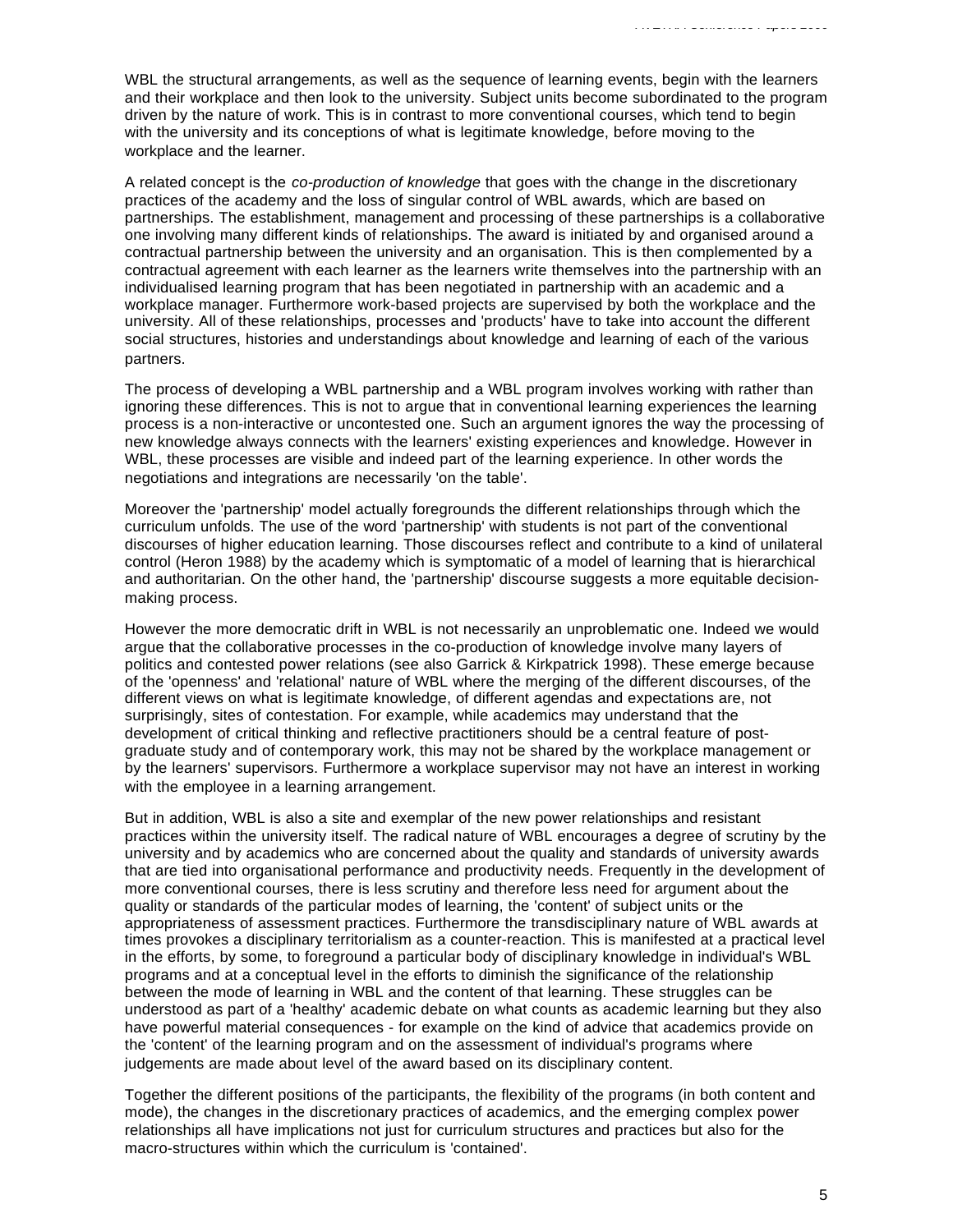WBL the structural arrangements, as well as the sequence of learning events, begin with the learners and their workplace and then look to the university. Subject units become subordinated to the program driven by the nature of work. This is in contrast to more conventional courses, which tend to begin with the university and its conceptions of what is legitimate knowledge, before moving to the workplace and the learner.

A related concept is the *co-production of knowledge* that goes with the change in the discretionary practices of the academy and the loss of singular control of WBL awards, which are based on partnerships. The establishment, management and processing of these partnerships is a collaborative one involving many different kinds of relationships. The award is initiated by and organised around a contractual partnership between the university and an organisation. This is then complemented by a contractual agreement with each learner as the learners write themselves into the partnership with an individualised learning program that has been negotiated in partnership with an academic and a workplace manager. Furthermore work-based projects are supervised by both the workplace and the university. All of these relationships, processes and 'products' have to take into account the different social structures, histories and understandings about knowledge and learning of each of the various partners.

The process of developing a WBL partnership and a WBL program involves working with rather than ignoring these differences. This is not to argue that in conventional learning experiences the learning process is a non-interactive or uncontested one. Such an argument ignores the way the processing of new knowledge always connects with the learners' existing experiences and knowledge. However in WBL, these processes are visible and indeed part of the learning experience. In other words the negotiations and integrations are necessarily 'on the table'.

Moreover the 'partnership' model actually foregrounds the different relationships through which the curriculum unfolds. The use of the word 'partnership' with students is not part of the conventional discourses of higher education learning. Those discourses reflect and contribute to a kind of unilateral control (Heron 1988) by the academy which is symptomatic of a model of learning that is hierarchical and authoritarian. On the other hand, the 'partnership' discourse suggests a more equitable decisionmaking process.

However the more democratic drift in WBL is not necessarily an unproblematic one. Indeed we would argue that the collaborative processes in the co-production of knowledge involve many layers of politics and contested power relations (see also Garrick & Kirkpatrick 1998). These emerge because of the 'openness' and 'relational' nature of WBL where the merging of the different discourses, of the different views on what is legitimate knowledge, of different agendas and expectations are, not surprisingly, sites of contestation. For example, while academics may understand that the development of critical thinking and reflective practitioners should be a central feature of postgraduate study and of contemporary work, this may not be shared by the workplace management or by the learners' supervisors. Furthermore a workplace supervisor may not have an interest in working with the employee in a learning arrangement.

But in addition, WBL is also a site and exemplar of the new power relationships and resistant practices within the university itself. The radical nature of WBL encourages a degree of scrutiny by the university and by academics who are concerned about the quality and standards of university awards that are tied into organisational performance and productivity needs. Frequently in the development of more conventional courses, there is less scrutiny and therefore less need for argument about the quality or standards of the particular modes of learning, the 'content' of subject units or the appropriateness of assessment practices. Furthermore the transdisciplinary nature of WBL awards at times provokes a disciplinary territorialism as a counter-reaction. This is manifested at a practical level in the efforts, by some, to foreground a particular body of disciplinary knowledge in individual's WBL programs and at a conceptual level in the efforts to diminish the significance of the relationship between the mode of learning in WBL and the content of that learning. These struggles can be understood as part of a 'healthy' academic debate on what counts as academic learning but they also have powerful material consequences - for example on the kind of advice that academics provide on the 'content' of the learning program and on the assessment of individual's programs where judgements are made about level of the award based on its disciplinary content.

Together the different positions of the participants, the flexibility of the programs (in both content and mode), the changes in the discretionary practices of academics, and the emerging complex power relationships all have implications not just for curriculum structures and practices but also for the macro-structures within which the curriculum is 'contained'.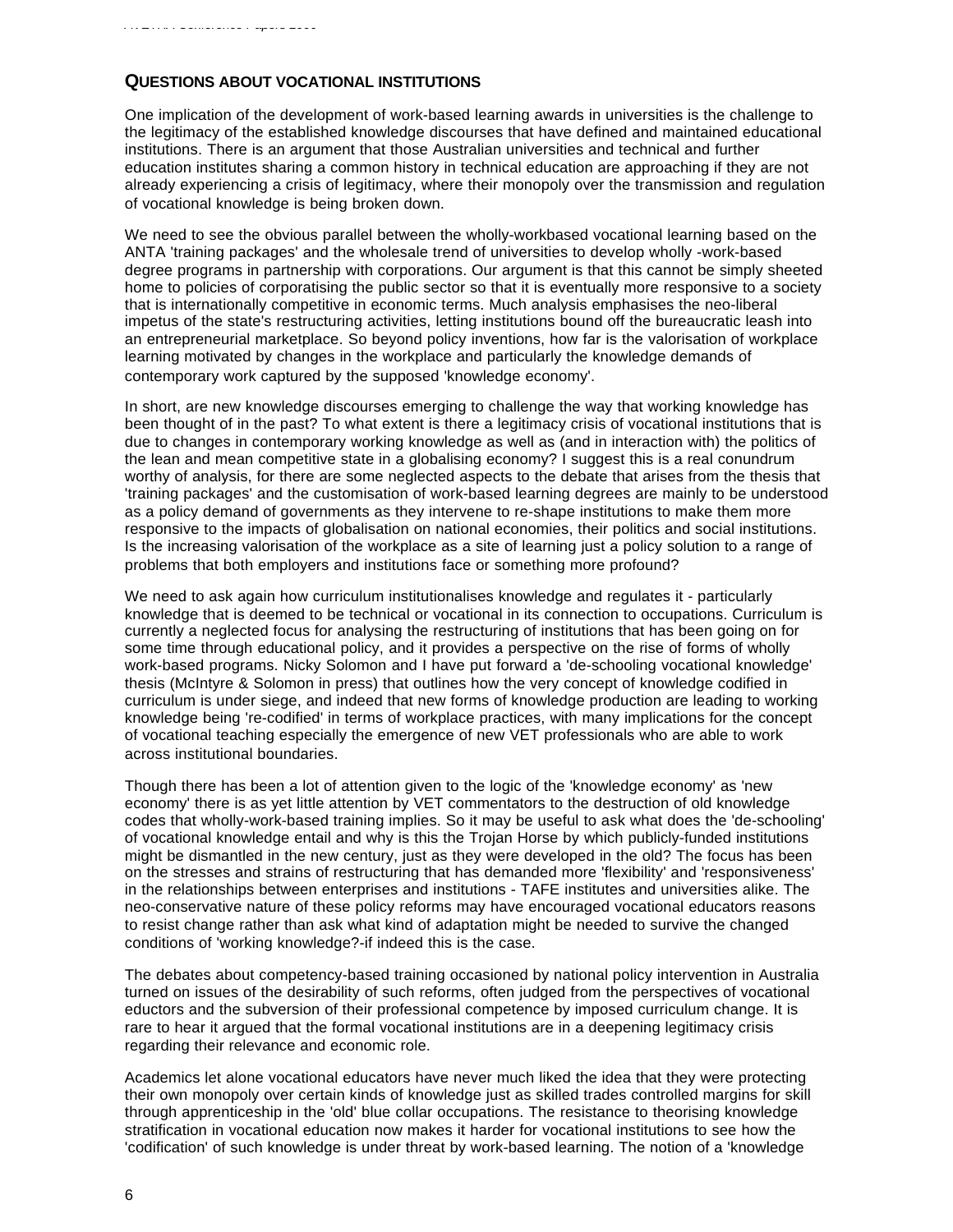## **QUESTIONS ABOUT VOCATIONAL INSTITUTIONS**

One implication of the development of work-based learning awards in universities is the challenge to the legitimacy of the established knowledge discourses that have defined and maintained educational institutions. There is an argument that those Australian universities and technical and further education institutes sharing a common history in technical education are approaching if they are not already experiencing a crisis of legitimacy, where their monopoly over the transmission and regulation of vocational knowledge is being broken down.

We need to see the obvious parallel between the wholly-workbased vocational learning based on the ANTA 'training packages' and the wholesale trend of universities to develop wholly -work-based degree programs in partnership with corporations. Our argument is that this cannot be simply sheeted home to policies of corporatising the public sector so that it is eventually more responsive to a society that is internationally competitive in economic terms. Much analysis emphasises the neo-liberal impetus of the state's restructuring activities, letting institutions bound off the bureaucratic leash into an entrepreneurial marketplace. So beyond policy inventions, how far is the valorisation of workplace learning motivated by changes in the workplace and particularly the knowledge demands of contemporary work captured by the supposed 'knowledge economy'.

In short, are new knowledge discourses emerging to challenge the way that working knowledge has been thought of in the past? To what extent is there a legitimacy crisis of vocational institutions that is due to changes in contemporary working knowledge as well as (and in interaction with) the politics of the lean and mean competitive state in a globalising economy? I suggest this is a real conundrum worthy of analysis, for there are some neglected aspects to the debate that arises from the thesis that 'training packages' and the customisation of work-based learning degrees are mainly to be understood as a policy demand of governments as they intervene to re-shape institutions to make them more responsive to the impacts of globalisation on national economies, their politics and social institutions. Is the increasing valorisation of the workplace as a site of learning just a policy solution to a range of problems that both employers and institutions face or something more profound?

We need to ask again how curriculum institutionalises knowledge and regulates it - particularly knowledge that is deemed to be technical or vocational in its connection to occupations. Curriculum is currently a neglected focus for analysing the restructuring of institutions that has been going on for some time through educational policy, and it provides a perspective on the rise of forms of wholly work-based programs. Nicky Solomon and I have put forward a 'de-schooling vocational knowledge' thesis (McIntyre & Solomon in press) that outlines how the very concept of knowledge codified in curriculum is under siege, and indeed that new forms of knowledge production are leading to working knowledge being 're-codified' in terms of workplace practices, with many implications for the concept of vocational teaching especially the emergence of new VET professionals who are able to work across institutional boundaries.

Though there has been a lot of attention given to the logic of the 'knowledge economy' as 'new economy' there is as yet little attention by VET commentators to the destruction of old knowledge codes that wholly-work-based training implies. So it may be useful to ask what does the 'de-schooling' of vocational knowledge entail and why is this the Trojan Horse by which publicly-funded institutions might be dismantled in the new century, just as they were developed in the old? The focus has been on the stresses and strains of restructuring that has demanded more 'flexibility' and 'responsiveness' in the relationships between enterprises and institutions - TAFE institutes and universities alike. The neo-conservative nature of these policy reforms may have encouraged vocational educators reasons to resist change rather than ask what kind of adaptation might be needed to survive the changed conditions of 'working knowledge?-if indeed this is the case.

The debates about competency-based training occasioned by national policy intervention in Australia turned on issues of the desirability of such reforms, often judged from the perspectives of vocational eductors and the subversion of their professional competence by imposed curriculum change. It is rare to hear it argued that the formal vocational institutions are in a deepening legitimacy crisis regarding their relevance and economic role.

Academics let alone vocational educators have never much liked the idea that they were protecting their own monopoly over certain kinds of knowledge just as skilled trades controlled margins for skill through apprenticeship in the 'old' blue collar occupations. The resistance to theorising knowledge stratification in vocational education now makes it harder for vocational institutions to see how the 'codification' of such knowledge is under threat by work-based learning. The notion of a 'knowledge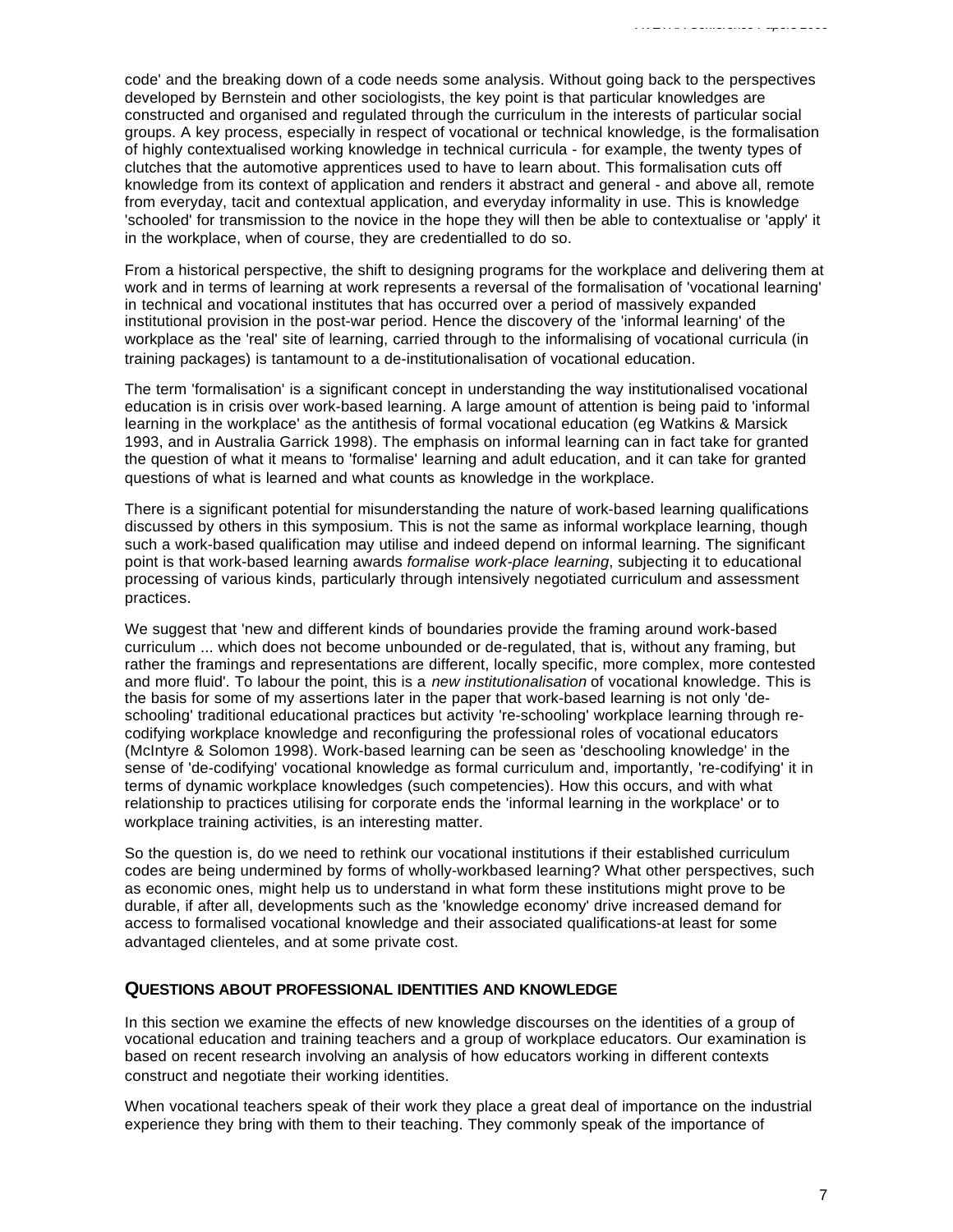code' and the breaking down of a code needs some analysis. Without going back to the perspectives developed by Bernstein and other sociologists, the key point is that particular knowledges are constructed and organised and regulated through the curriculum in the interests of particular social groups. A key process, especially in respect of vocational or technical knowledge, is the formalisation of highly contextualised working knowledge in technical curricula - for example, the twenty types of clutches that the automotive apprentices used to have to learn about. This formalisation cuts off knowledge from its context of application and renders it abstract and general - and above all, remote from everyday, tacit and contextual application, and everyday informality in use. This is knowledge 'schooled' for transmission to the novice in the hope they will then be able to contextualise or 'apply' it in the workplace, when of course, they are credentialled to do so.

From a historical perspective, the shift to designing programs for the workplace and delivering them at work and in terms of learning at work represents a reversal of the formalisation of 'vocational learning' in technical and vocational institutes that has occurred over a period of massively expanded institutional provision in the post-war period. Hence the discovery of the 'informal learning' of the workplace as the 'real' site of learning, carried through to the informalising of vocational curricula (in training packages) is tantamount to a de-institutionalisation of vocational education.

The term 'formalisation' is a significant concept in understanding the way institutionalised vocational education is in crisis over work-based learning. A large amount of attention is being paid to 'informal learning in the workplace' as the antithesis of formal vocational education (eg Watkins & Marsick 1993, and in Australia Garrick 1998). The emphasis on informal learning can in fact take for granted the question of what it means to 'formalise' learning and adult education, and it can take for granted questions of what is learned and what counts as knowledge in the workplace.

There is a significant potential for misunderstanding the nature of work-based learning qualifications discussed by others in this symposium. This is not the same as informal workplace learning, though such a work-based qualification may utilise and indeed depend on informal learning. The significant point is that work-based learning awards *formalise work-place learning*, subjecting it to educational processing of various kinds, particularly through intensively negotiated curriculum and assessment practices.

We suggest that 'new and different kinds of boundaries provide the framing around work-based curriculum ... which does not become unbounded or de-regulated, that is, without any framing, but rather the framings and representations are different, locally specific, more complex, more contested and more fluid'. To labour the point, this is a *new institutionalisation* of vocational knowledge. This is the basis for some of my assertions later in the paper that work-based learning is not only 'deschooling' traditional educational practices but activity 're-schooling' workplace learning through recodifying workplace knowledge and reconfiguring the professional roles of vocational educators (McIntyre & Solomon 1998). Work-based learning can be seen as 'deschooling knowledge' in the sense of 'de-codifying' vocational knowledge as formal curriculum and, importantly, 're-codifying' it in terms of dynamic workplace knowledges (such competencies). How this occurs, and with what relationship to practices utilising for corporate ends the 'informal learning in the workplace' or to workplace training activities, is an interesting matter.

So the question is, do we need to rethink our vocational institutions if their established curriculum codes are being undermined by forms of wholly-workbased learning? What other perspectives, such as economic ones, might help us to understand in what form these institutions might prove to be durable, if after all, developments such as the 'knowledge economy' drive increased demand for access to formalised vocational knowledge and their associated qualifications-at least for some advantaged clienteles, and at some private cost.

#### **QUESTIONS ABOUT PROFESSIONAL IDENTITIES AND KNOWLEDGE**

In this section we examine the effects of new knowledge discourses on the identities of a group of vocational education and training teachers and a group of workplace educators. Our examination is based on recent research involving an analysis of how educators working in different contexts construct and negotiate their working identities.

When vocational teachers speak of their work they place a great deal of importance on the industrial experience they bring with them to their teaching. They commonly speak of the importance of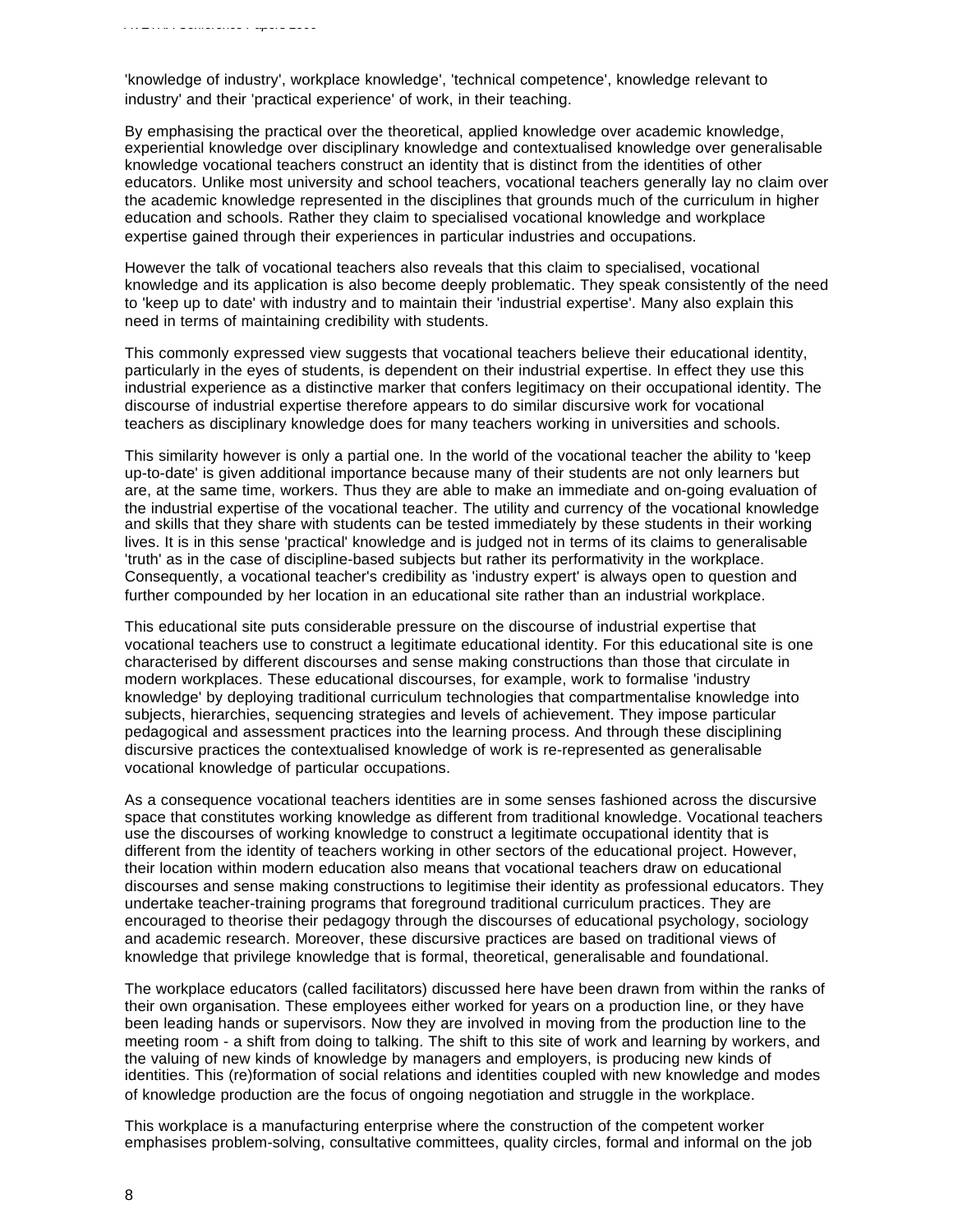'knowledge of industry', workplace knowledge', 'technical competence', knowledge relevant to industry' and their 'practical experience' of work, in their teaching.

By emphasising the practical over the theoretical, applied knowledge over academic knowledge, experiential knowledge over disciplinary knowledge and contextualised knowledge over generalisable knowledge vocational teachers construct an identity that is distinct from the identities of other educators. Unlike most university and school teachers, vocational teachers generally lay no claim over the academic knowledge represented in the disciplines that grounds much of the curriculum in higher education and schools. Rather they claim to specialised vocational knowledge and workplace expertise gained through their experiences in particular industries and occupations.

However the talk of vocational teachers also reveals that this claim to specialised, vocational knowledge and its application is also become deeply problematic. They speak consistently of the need to 'keep up to date' with industry and to maintain their 'industrial expertise'. Many also explain this need in terms of maintaining credibility with students.

This commonly expressed view suggests that vocational teachers believe their educational identity, particularly in the eyes of students, is dependent on their industrial expertise. In effect they use this industrial experience as a distinctive marker that confers legitimacy on their occupational identity. The discourse of industrial expertise therefore appears to do similar discursive work for vocational teachers as disciplinary knowledge does for many teachers working in universities and schools.

This similarity however is only a partial one. In the world of the vocational teacher the ability to 'keep up-to-date' is given additional importance because many of their students are not only learners but are, at the same time, workers. Thus they are able to make an immediate and on-going evaluation of the industrial expertise of the vocational teacher. The utility and currency of the vocational knowledge and skills that they share with students can be tested immediately by these students in their working lives. It is in this sense 'practical' knowledge and is judged not in terms of its claims to generalisable 'truth' as in the case of discipline-based subjects but rather its performativity in the workplace. Consequently, a vocational teacher's credibility as 'industry expert' is always open to question and further compounded by her location in an educational site rather than an industrial workplace.

This educational site puts considerable pressure on the discourse of industrial expertise that vocational teachers use to construct a legitimate educational identity. For this educational site is one characterised by different discourses and sense making constructions than those that circulate in modern workplaces. These educational discourses, for example, work to formalise 'industry knowledge' by deploying traditional curriculum technologies that compartmentalise knowledge into subjects, hierarchies, sequencing strategies and levels of achievement. They impose particular pedagogical and assessment practices into the learning process. And through these disciplining discursive practices the contextualised knowledge of work is re-represented as generalisable vocational knowledge of particular occupations.

As a consequence vocational teachers identities are in some senses fashioned across the discursive space that constitutes working knowledge as different from traditional knowledge. Vocational teachers use the discourses of working knowledge to construct a legitimate occupational identity that is different from the identity of teachers working in other sectors of the educational project. However, their location within modern education also means that vocational teachers draw on educational discourses and sense making constructions to legitimise their identity as professional educators. They undertake teacher-training programs that foreground traditional curriculum practices. They are encouraged to theorise their pedagogy through the discourses of educational psychology, sociology and academic research. Moreover, these discursive practices are based on traditional views of knowledge that privilege knowledge that is formal, theoretical, generalisable and foundational.

The workplace educators (called facilitators) discussed here have been drawn from within the ranks of their own organisation. These employees either worked for years on a production line, or they have been leading hands or supervisors. Now they are involved in moving from the production line to the meeting room - a shift from doing to talking. The shift to this site of work and learning by workers, and the valuing of new kinds of knowledge by managers and employers, is producing new kinds of identities. This (re)formation of social relations and identities coupled with new knowledge and modes of knowledge production are the focus of ongoing negotiation and struggle in the workplace.

This workplace is a manufacturing enterprise where the construction of the competent worker emphasises problem-solving, consultative committees, quality circles, formal and informal on the job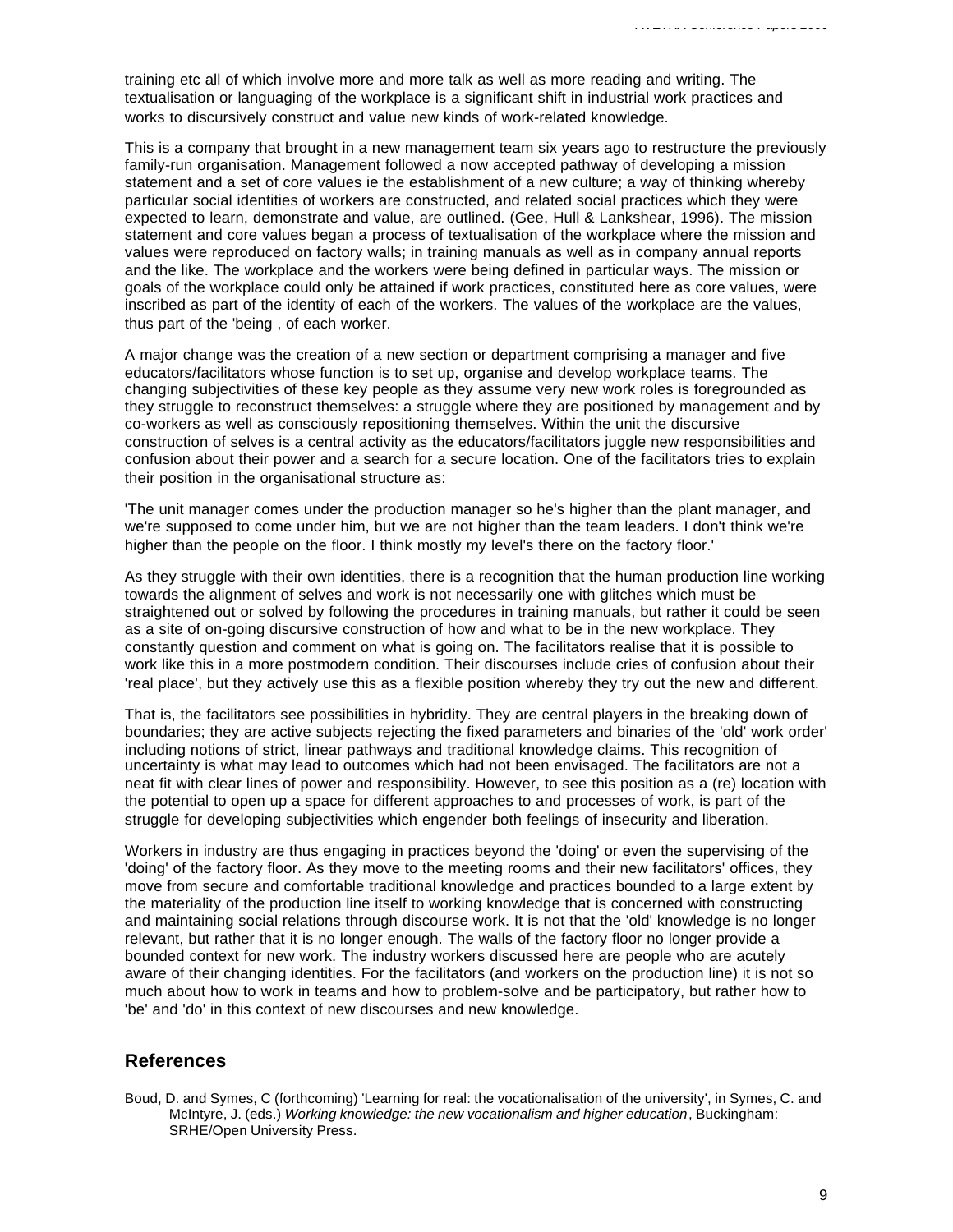training etc all of which involve more and more talk as well as more reading and writing. The textualisation or languaging of the workplace is a significant shift in industrial work practices and works to discursively construct and value new kinds of work-related knowledge.

This is a company that brought in a new management team six years ago to restructure the previously family-run organisation. Management followed a now accepted pathway of developing a mission statement and a set of core values ie the establishment of a new culture; a way of thinking whereby particular social identities of workers are constructed, and related social practices which they were expected to learn, demonstrate and value, are outlined. (Gee, Hull & Lankshear, 1996). The mission statement and core values began a process of textualisation of the workplace where the mission and values were reproduced on factory walls; in training manuals as well as in company annual reports and the like. The workplace and the workers were being defined in particular ways. The mission or goals of the workplace could only be attained if work practices, constituted here as core values, were inscribed as part of the identity of each of the workers. The values of the workplace are the values, thus part of the 'being , of each worker.

A major change was the creation of a new section or department comprising a manager and five educators/facilitators whose function is to set up, organise and develop workplace teams. The changing subjectivities of these key people as they assume very new work roles is foregrounded as they struggle to reconstruct themselves: a struggle where they are positioned by management and by co-workers as well as consciously repositioning themselves. Within the unit the discursive construction of selves is a central activity as the educators/facilitators juggle new responsibilities and confusion about their power and a search for a secure location. One of the facilitators tries to explain their position in the organisational structure as:

'The unit manager comes under the production manager so he's higher than the plant manager, and we're supposed to come under him, but we are not higher than the team leaders. I don't think we're higher than the people on the floor. I think mostly my level's there on the factory floor.'

As they struggle with their own identities, there is a recognition that the human production line working towards the alignment of selves and work is not necessarily one with glitches which must be straightened out or solved by following the procedures in training manuals, but rather it could be seen as a site of on-going discursive construction of how and what to be in the new workplace. They constantly question and comment on what is going on. The facilitators realise that it is possible to work like this in a more postmodern condition. Their discourses include cries of confusion about their 'real place', but they actively use this as a flexible position whereby they try out the new and different.

That is, the facilitators see possibilities in hybridity. They are central players in the breaking down of boundaries; they are active subjects rejecting the fixed parameters and binaries of the 'old' work order' including notions of strict, linear pathways and traditional knowledge claims. This recognition of uncertainty is what may lead to outcomes which had not been envisaged. The facilitators are not a neat fit with clear lines of power and responsibility. However, to see this position as a (re) location with the potential to open up a space for different approaches to and processes of work, is part of the struggle for developing subjectivities which engender both feelings of insecurity and liberation.

Workers in industry are thus engaging in practices beyond the 'doing' or even the supervising of the 'doing' of the factory floor. As they move to the meeting rooms and their new facilitators' offices, they move from secure and comfortable traditional knowledge and practices bounded to a large extent by the materiality of the production line itself to working knowledge that is concerned with constructing and maintaining social relations through discourse work. It is not that the 'old' knowledge is no longer relevant, but rather that it is no longer enough. The walls of the factory floor no longer provide a bounded context for new work. The industry workers discussed here are people who are acutely aware of their changing identities. For the facilitators (and workers on the production line) it is not so much about how to work in teams and how to problem-solve and be participatory, but rather how to 'be' and 'do' in this context of new discourses and new knowledge.

## **References**

Boud, D. and Symes, C (forthcoming) 'Learning for real: the vocationalisation of the university', in Symes, C. and McIntyre, J. (eds.) *Working knowledge: the new vocationalism and higher education*, Buckingham: SRHE/Open University Press.